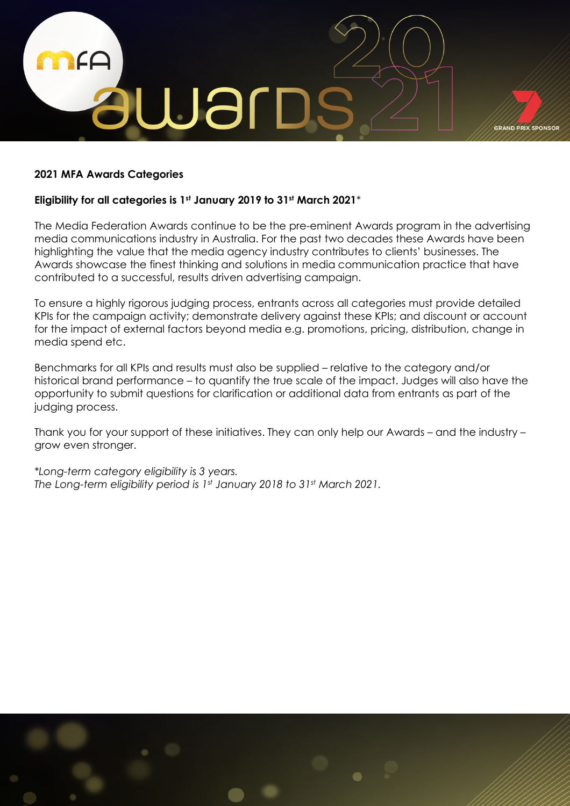

## **2021 MFA Awards Categories**

## **Eligibility for all categories is 1st January 2019 to 31st March 2021***\**

The Media Federation Awards continue to be the pre-eminent Awards program in the advertising media communications industry in Australia. For the past two decades these Awards have been highlighting the value that the media agency industry contributes to clients' businesses. The Awards showcase the finest thinking and solutions in media communication practice that have contributed to a successful, results driven advertising campaign.

To ensure a highly rigorous judging process, entrants across all categories must provide detailed KPIs for the campaign activity; demonstrate delivery against these KPIs; and discount or account for the impact of external factors beyond media e.g. promotions, pricing, distribution, change in media spend etc.

Benchmarks for all KPIs and results must also be supplied – relative to the category and/or historical brand performance – to quantify the true scale of the impact. Judges will also have the opportunity to submit questions for clarification or additional data from entrants as part of the judging process.

Thank you for your support of these initiatives. They can only help our Awards – and the industry – grow even stronger.

*\*Long-term category eligibility is 3 years. The Long-term eligibility period is 1st January 2018 to 31st March 2021.*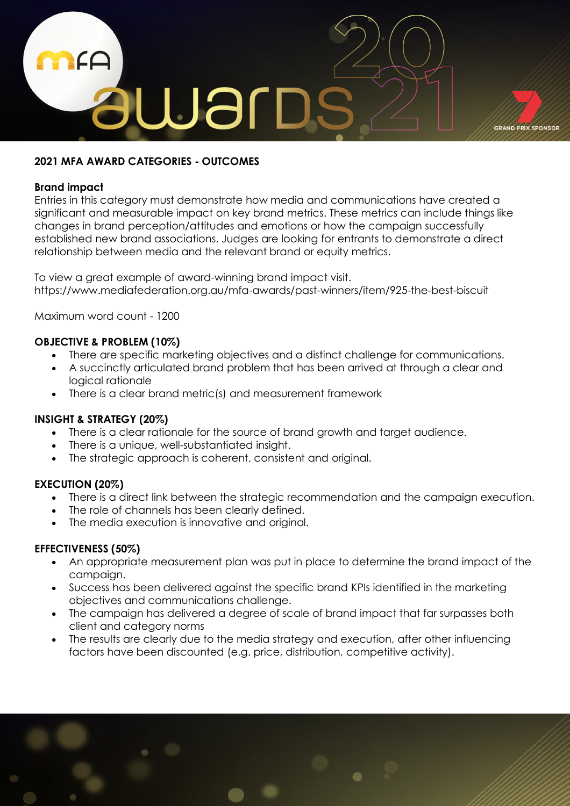

## **2021 MFA AWARD CATEGORIES - OUTCOMES**

## **Brand impact**

Entries in this category must demonstrate how media and communications have created a significant and measurable impact on key brand metrics. These metrics can include things like changes in brand perception/attitudes and emotions or how the campaign successfully established new brand associations. Judges are looking for entrants to demonstrate a direct relationship between media and the relevant brand or equity metrics.

To view a great example of award-winning brand impact visit. https://www.mediafederation.org.au/mfa-awards/past-winners/item/925-the-best-biscuit

Maximum word count - 1200

# **OBJECTIVE & PROBLEM (10%)**

- There are specific marketing objectives and a distinct challenge for communications.
- A succinctly articulated brand problem that has been arrived at through a clear and logical rationale
- There is a clear brand metric(s) and measurement framework

# **INSIGHT & STRATEGY (20%)**

- There is a clear rationale for the source of brand growth and target audience.
- There is a unique, well-substantiated insight.
- The strategic approach is coherent, consistent and original.

# **EXECUTION (20%)**

- There is a direct link between the strategic recommendation and the campaign execution.
- The role of channels has been clearly defined.
- The media execution is innovative and original.

- An appropriate measurement plan was put in place to determine the brand impact of the campaign.
- Success has been delivered against the specific brand KPIs identified in the marketing objectives and communications challenge.
- The campaign has delivered a degree of scale of brand impact that far surpasses both client and category norms
- The results are clearly due to the media strategy and execution, after other influencing factors have been discounted (e.g. price, distribution, competitive activity).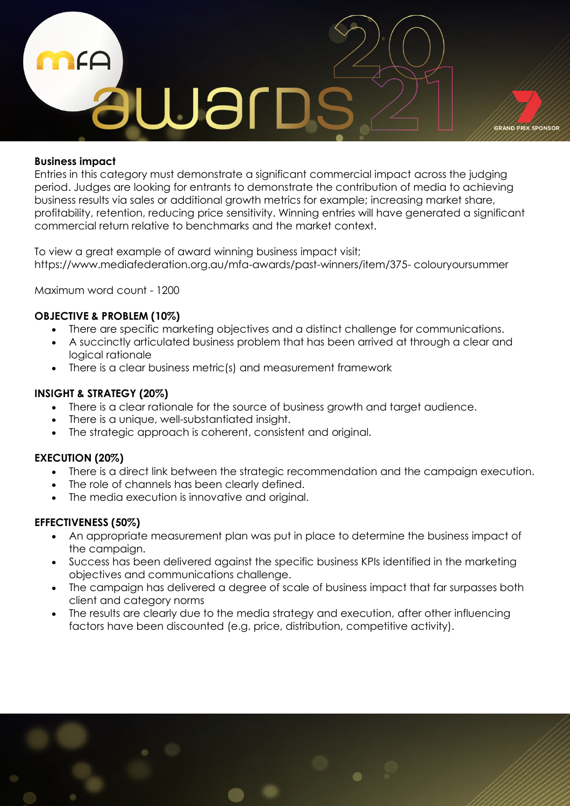

## **Business impact**

Entries in this category must demonstrate a significant commercial impact across the judging period. Judges are looking for entrants to demonstrate the contribution of media to achieving business results via sales or additional growth metrics for example; increasing market share, profitability, retention, reducing price sensitivity. Winning entries will have generated a significant commercial return relative to benchmarks and the market context.

To view a great example of award winning business impact visit; https://www.mediafederation.org.au/mfa-awards/past-winners/item/375- colouryoursummer

Maximum word count - 1200

# **OBJECTIVE & PROBLEM (10%)**

- There are specific marketing objectives and a distinct challenge for communications.
- A succinctly articulated business problem that has been arrived at through a clear and logical rationale
- There is a clear business metric(s) and measurement framework

## **INSIGHT & STRATEGY (20%)**

- There is a clear rationale for the source of business growth and target audience.
- There is a unique, well-substantiated insight.
- The strategic approach is coherent, consistent and original.

## **EXECUTION (20%)**

- There is a direct link between the strategic recommendation and the campaign execution.
- The role of channels has been clearly defined.
- The media execution is innovative and original.

- An appropriate measurement plan was put in place to determine the business impact of the campaign.
- Success has been delivered against the specific business KPIs identified in the marketing objectives and communications challenge.
- The campaign has delivered a degree of scale of business impact that far surpasses both client and category norms
- The results are clearly due to the media strategy and execution, after other influencing factors have been discounted (e.g. price, distribution, competitive activity).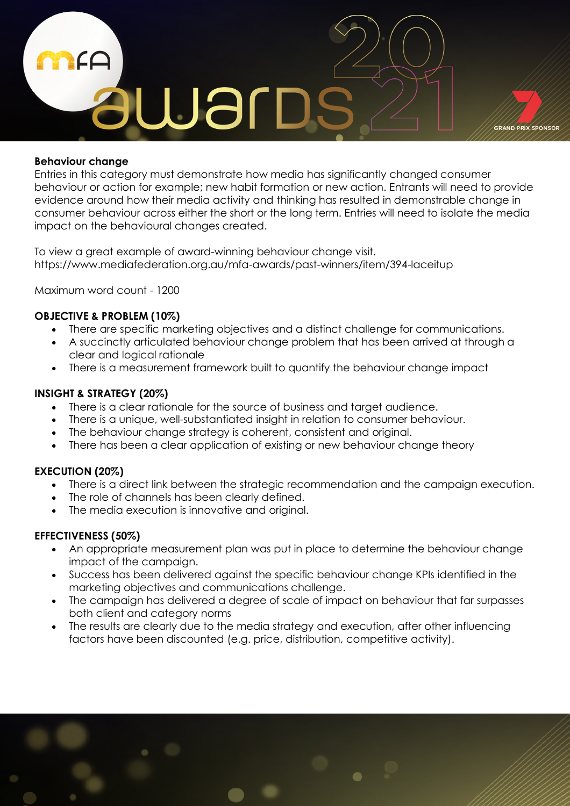

## **Behaviour change**

Entries in this category must demonstrate how media has significantly changed consumer behaviour or action for example; new habit formation or new action. Entrants will need to provide evidence around how their media activity and thinking has resulted in demonstrable change in consumer behaviour across either the short or the long term. Entries will need to isolate the media impact on the behavioural changes created.

To view a great example of award-winning behaviour change visit. https://www.mediafederation.org.au/mfa-awards/past-winners/item/394-laceitup

Maximum word count - 1200

## **OBJECTIVE & PROBLEM (10%)**

- There are specific marketing objectives and a distinct challenge for communications.
- A succinctly articulated behaviour change problem that has been arrived at through a clear and logical rationale
- There is a measurement framework built to quantify the behaviour change impact

## **INSIGHT & STRATEGY (20%)**

- There is a clear rationale for the source of business and target audience.
- There is a unique, well-substantiated insight in relation to consumer behaviour.
- The behaviour change strategy is coherent, consistent and original.
- There has been a clear application of existing or new behaviour change theory

## **EXECUTION (20%)**

- There is a direct link between the strategic recommendation and the campaign execution.
- The role of channels has been clearly defined.
- The media execution is innovative and original.

- An appropriate measurement plan was put in place to determine the behaviour change impact of the campaign.
- Success has been delivered against the specific behaviour change KPIs identified in the marketing objectives and communications challenge.
- The campaign has delivered a degree of scale of impact on behaviour that far surpasses both client and category norms
- The results are clearly due to the media strategy and execution, after other influencing factors have been discounted (e.g. price, distribution, competitive activity).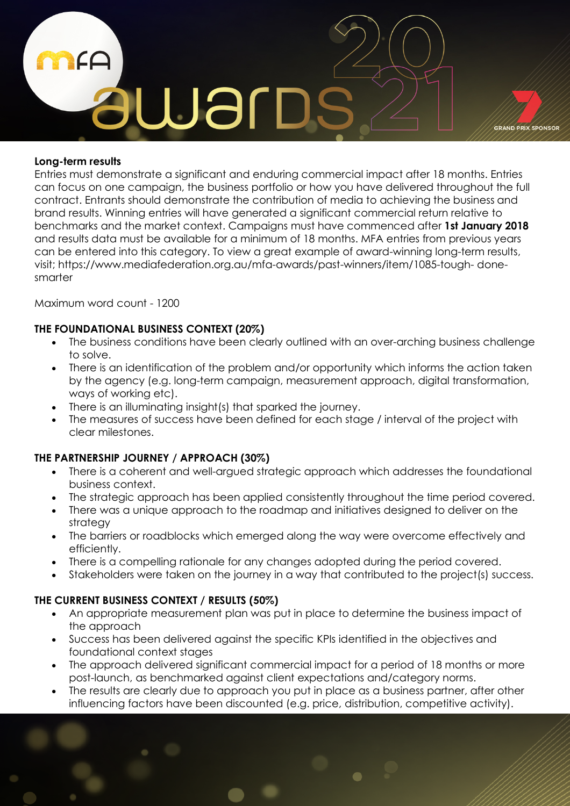

## **Long-term results**

Entries must demonstrate a significant and enduring commercial impact after 18 months. Entries can focus on one campaign, the business portfolio or how you have delivered throughout the full contract. Entrants should demonstrate the contribution of media to achieving the business and brand results. Winning entries will have generated a significant commercial return relative to benchmarks and the market context. Campaigns must have commenced after **1st January 2018** and results data must be available for a minimum of 18 months. MFA entries from previous years can be entered into this category. To view a great example of award-winning long-term results, visit; https://www.mediafederation.org.au/mfa-awards/past-winners/item/1085-tough- donesmarter

Maximum word count - 1200

# **THE FOUNDATIONAL BUSINESS CONTEXT (20%)**

- The business conditions have been clearly outlined with an over-arching business challenge to solve.
- There is an identification of the problem and/or opportunity which informs the action taken by the agency (e.g. long-term campaign, measurement approach, digital transformation, ways of working etc).
- There is an illuminating insight(s) that sparked the journey.
- The measures of success have been defined for each stage / interval of the project with clear milestones.

# **THE PARTNERSHIP JOURNEY / APPROACH (30%)**

- There is a coherent and well-argued strategic approach which addresses the foundational business context.
- The strategic approach has been applied consistently throughout the time period covered.
- There was a unique approach to the roadmap and initiatives designed to deliver on the strategy
- The barriers or roadblocks which emerged along the way were overcome effectively and efficiently.
- There is a compelling rationale for any changes adopted during the period covered.
- Stakeholders were taken on the journey in a way that contributed to the project(s) success.

# **THE CURRENT BUSINESS CONTEXT / RESULTS (50%)**

- An appropriate measurement plan was put in place to determine the business impact of the approach
- Success has been delivered against the specific KPIs identified in the objectives and foundational context stages
- The approach delivered significant commercial impact for a period of 18 months or more post-launch, as benchmarked against client expectations and/category norms.
- The results are clearly due to approach you put in place as a business partner, after other influencing factors have been discounted (e.g. price, distribution, competitive activity).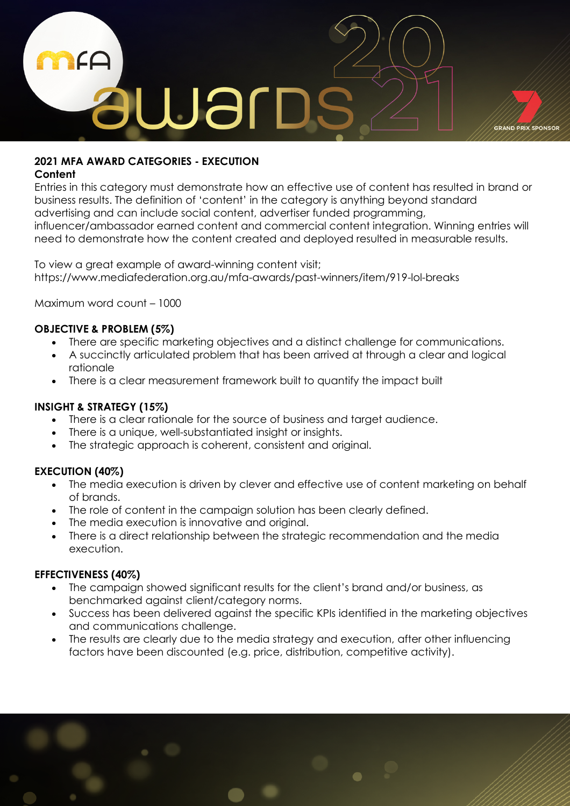

# **2021 MFA AWARD CATEGORIES - EXECUTION**

# **Content**

Entries in this category must demonstrate how an effective use of content has resulted in brand or business results. The definition of 'content' in the category is anything beyond standard advertising and can include social content, advertiser funded programming, influencer/ambassador earned content and commercial content integration. Winning entries will need to demonstrate how the content created and deployed resulted in measurable results.

To view a great example of award-winning content visit; https://www.mediafederation.org.au/mfa-awards/past-winners/item/919-lol-breaks

Maximum word count – 1000

# **OBJECTIVE & PROBLEM (5%)**

- There are specific marketing objectives and a distinct challenge for communications.
- A succinctly articulated problem that has been arrived at through a clear and logical rationale
- There is a clear measurement framework built to quantify the impact built

# **INSIGHT & STRATEGY (15%)**

- There is a clear rationale for the source of business and target audience.
- There is a unique, well-substantiated insight or insights.
- The strategic approach is coherent, consistent and original.

# **EXECUTION (40%)**

- The media execution is driven by clever and effective use of content marketing on behalf of brands.
- The role of content in the campaign solution has been clearly defined.
- The media execution is innovative and original.
- There is a direct relationship between the strategic recommendation and the media execution.

- The campaign showed significant results for the client's brand and/or business, as benchmarked against client/category norms.
- Success has been delivered against the specific KPIs identified in the marketing objectives and communications challenge.
- The results are clearly due to the media strategy and execution, after other influencing factors have been discounted (e.g. price, distribution, competitive activity).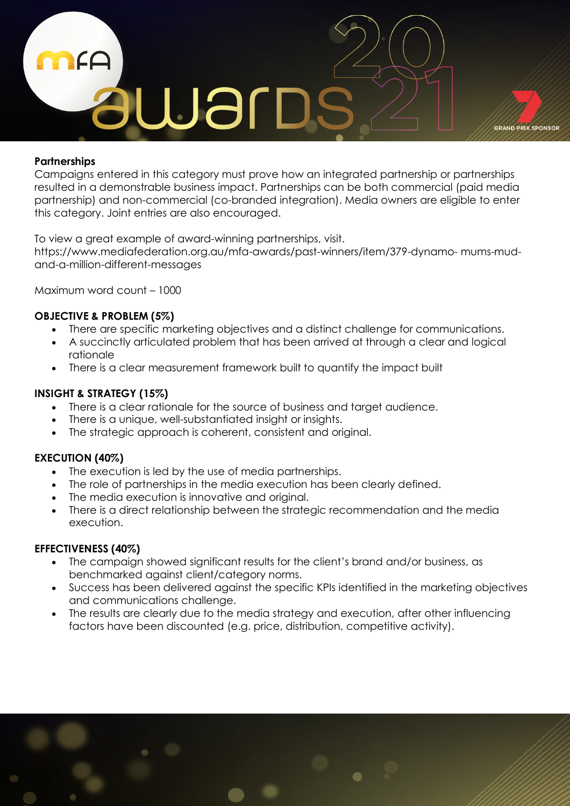

## **Partnerships**

Campaigns entered in this category must prove how an integrated partnership or partnerships resulted in a demonstrable business impact. Partnerships can be both commercial (paid media partnership) and non-commercial (co-branded integration). Media owners are eligible to enter this category. Joint entries are also encouraged.

To view a great example of award-winning partnerships, visit.

https://www.mediafederation.org.au/mfa-awards/past-winners/item/379-dynamo- mums-mudand-a-million-different-messages

Maximum word count – 1000

# **OBJECTIVE & PROBLEM (5%)**

- There are specific marketing objectives and a distinct challenge for communications.
- A succinctly articulated problem that has been arrived at through a clear and logical rationale
- There is a clear measurement framework built to quantify the impact built

## **INSIGHT & STRATEGY (15%)**

- There is a clear rationale for the source of business and target audience.
- There is a unique, well-substantiated insight or insights.
- The strategic approach is coherent, consistent and original.

# **EXECUTION (40%)**

- The execution is led by the use of media partnerships.
- The role of partnerships in the media execution has been clearly defined.
- The media execution is innovative and original.
- There is a direct relationship between the strategic recommendation and the media execution.

- The campaign showed significant results for the client's brand and/or business, as benchmarked against client/category norms.
- Success has been delivered against the specific KPIs identified in the marketing objectives and communications challenge.
- The results are clearly due to the media strategy and execution, after other influencing factors have been discounted (e.g. price, distribution, competitive activity).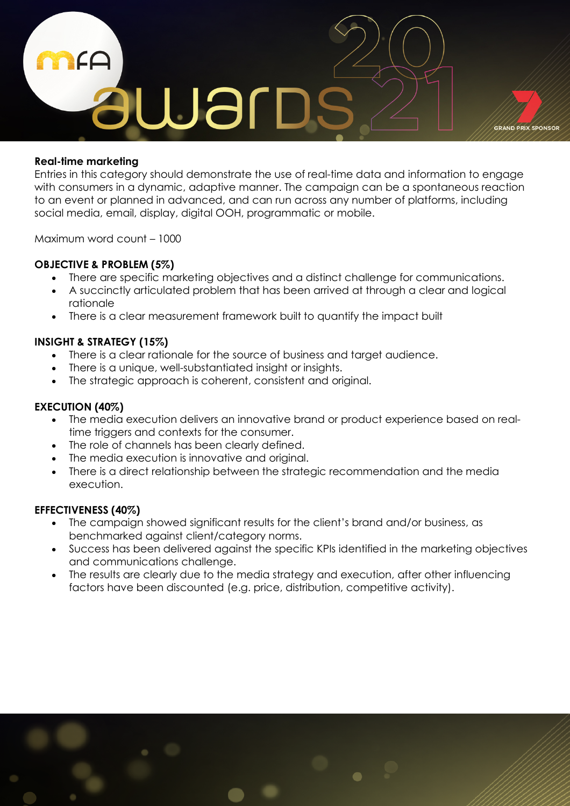

## **Real-time marketing**

Entries in this category should demonstrate the use of real-time data and information to engage with consumers in a dynamic, adaptive manner. The campaign can be a spontaneous reaction to an event or planned in advanced, and can run across any number of platforms, including social media, email, display, digital OOH, programmatic or mobile.

Maximum word count – 1000

# **OBJECTIVE & PROBLEM (5%)**

- There are specific marketing objectives and a distinct challenge for communications.
- A succinctly articulated problem that has been arrived at through a clear and logical rationale
- There is a clear measurement framework built to quantify the impact built

# **INSIGHT & STRATEGY (15%)**

- There is a clear rationale for the source of business and target audience.
- There is a unique, well-substantiated insight or insights.
- The strategic approach is coherent, consistent and original.

## **EXECUTION (40%)**

- The media execution delivers an innovative brand or product experience based on realtime triggers and contexts for the consumer.
- The role of channels has been clearly defined.
- The media execution is innovative and original.
- There is a direct relationship between the strategic recommendation and the media execution.

- The campaign showed significant results for the client's brand and/or business, as benchmarked against client/category norms.
- Success has been delivered against the specific KPIs identified in the marketing objectives and communications challenge.
- The results are clearly due to the media strategy and execution, after other influencing factors have been discounted (e.g. price, distribution, competitive activity).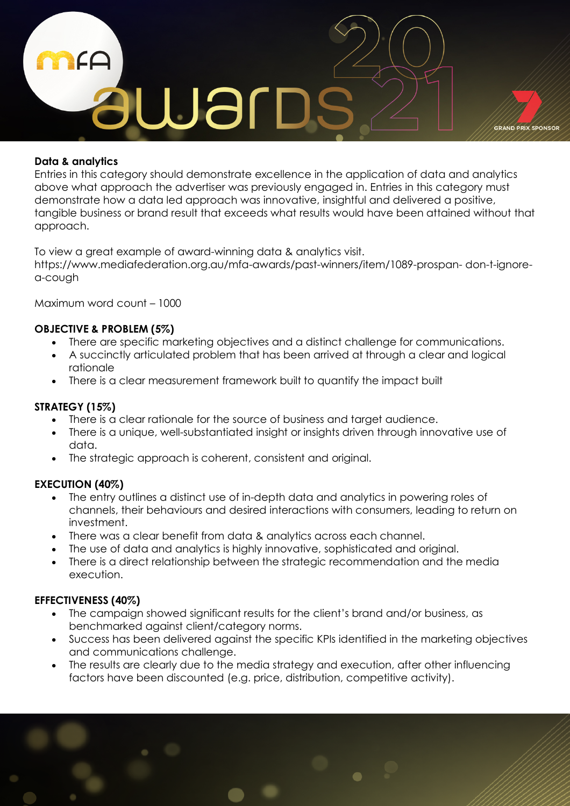

## **Data & analytics**

Entries in this category should demonstrate excellence in the application of data and analytics above what approach the advertiser was previously engaged in. Entries in this category must demonstrate how a data led approach was innovative, insightful and delivered a positive, tangible business or brand result that exceeds what results would have been attained without that approach.

To view a great example of award-winning data & analytics visit.

https://www.mediafederation.org.au/mfa-awards/past-winners/item/1089-prospan- don-t-ignorea-cough

Maximum word count – 1000

# **OBJECTIVE & PROBLEM (5%)**

- There are specific marketing objectives and a distinct challenge for communications.
- A succinctly articulated problem that has been arrived at through a clear and logical rationale
- There is a clear measurement framework built to quantify the impact built

## **STRATEGY (15%)**

- There is a clear rationale for the source of business and target audience.
- There is a unique, well-substantiated insight or insights driven through innovative use of data.
- The strategic approach is coherent, consistent and original.

# **EXECUTION (40%)**

- The entry outlines a distinct use of in-depth data and analytics in powering roles of channels, their behaviours and desired interactions with consumers, leading to return on investment.
- There was a clear benefit from data & analytics across each channel.
- The use of data and analytics is highly innovative, sophisticated and original.
- There is a direct relationship between the strategic recommendation and the media execution.

- The campaign showed significant results for the client's brand and/or business, as benchmarked against client/category norms.
- Success has been delivered against the specific KPIs identified in the marketing objectives and communications challenge.
- The results are clearly due to the media strategy and execution, after other influencing factors have been discounted (e.g. price, distribution, competitive activity).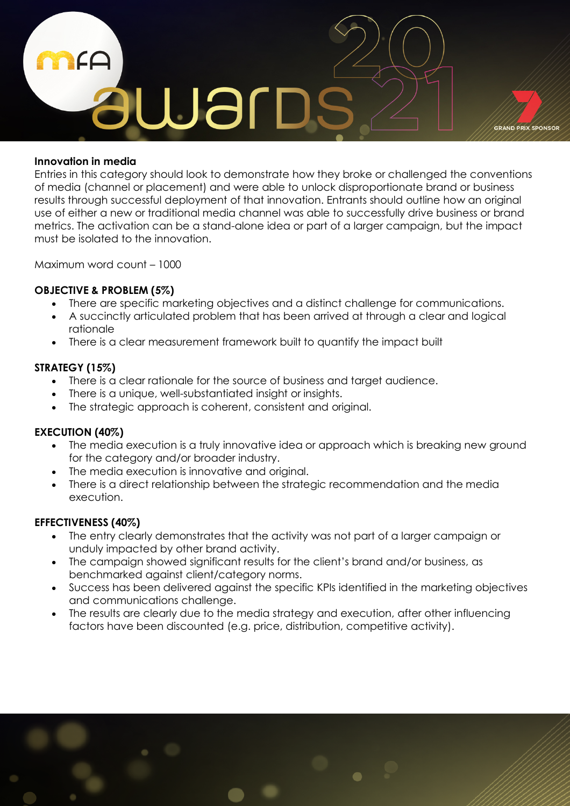

## **Innovation in media**

Entries in this category should look to demonstrate how they broke or challenged the conventions of media (channel or placement) and were able to unlock disproportionate brand or business results through successful deployment of that innovation. Entrants should outline how an original use of either a new or traditional media channel was able to successfully drive business or brand metrics. The activation can be a stand-alone idea or part of a larger campaign, but the impact must be isolated to the innovation.

Maximum word count – 1000

## **OBJECTIVE & PROBLEM (5%)**

- There are specific marketing objectives and a distinct challenge for communications.
- A succinctly articulated problem that has been arrived at through a clear and logical rationale
- There is a clear measurement framework built to quantify the impact built

## **STRATEGY (15%)**

- There is a clear rationale for the source of business and target audience.
- There is a unique, well-substantiated insight or insights.
- The strategic approach is coherent, consistent and original.

# **EXECUTION (40%)**

- The media execution is a truly innovative idea or approach which is breaking new ground for the category and/or broader industry.
- The media execution is innovative and original.
- There is a direct relationship between the strategic recommendation and the media execution.

- The entry clearly demonstrates that the activity was not part of a larger campaign or unduly impacted by other brand activity.
- The campaign showed significant results for the client's brand and/or business, as benchmarked against client/category norms.
- Success has been delivered against the specific KPIs identified in the marketing objectives and communications challenge.
- The results are clearly due to the media strategy and execution, after other influencing factors have been discounted (e.g. price, distribution, competitive activity).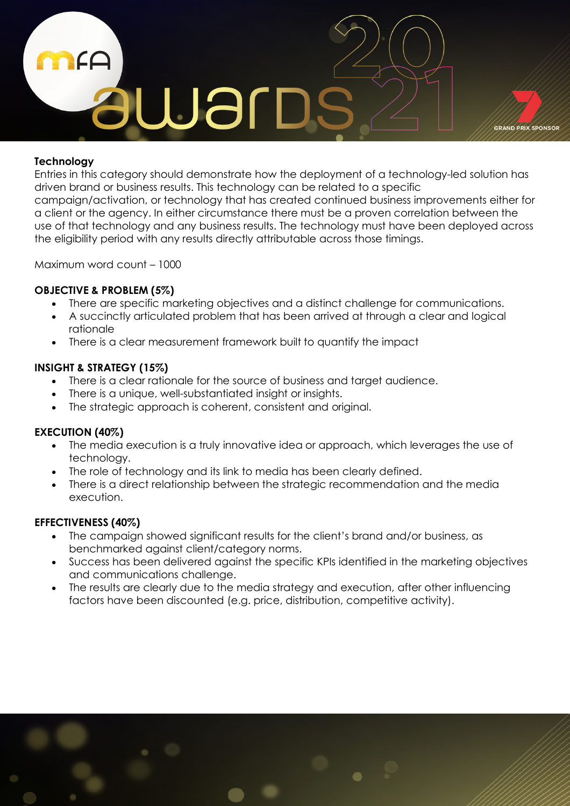

# **Technology**

Entries in this category should demonstrate how the deployment of a technology-led solution has driven brand or business results. This technology can be related to a specific

campaign/activation, or technology that has created continued business improvements either for a client or the agency. In either circumstance there must be a proven correlation between the use of that technology and any business results. The technology must have been deployed across the eligibility period with any results directly attributable across those timings.

Maximum word count – 1000

# **OBJECTIVE & PROBLEM (5%)**

- There are specific marketing objectives and a distinct challenge for communications.
- A succinctly articulated problem that has been arrived at through a clear and logical rationale
- There is a clear measurement framework built to quantify the impact

# **INSIGHT & STRATEGY (15%)**

- There is a clear rationale for the source of business and target audience.
- There is a unique, well-substantiated insight or insights.
- The strategic approach is coherent, consistent and original.

# **EXECUTION (40%)**

- The media execution is a truly innovative idea or approach, which leverages the use of technology.
- The role of technology and its link to media has been clearly defined.
- There is a direct relationship between the strategic recommendation and the media execution.

- The campaign showed significant results for the client's brand and/or business, as benchmarked against client/category norms.
- Success has been delivered against the specific KPIs identified in the marketing objectives and communications challenge.
- The results are clearly due to the media strategy and execution, after other influencing factors have been discounted (e.g. price, distribution, competitive activity).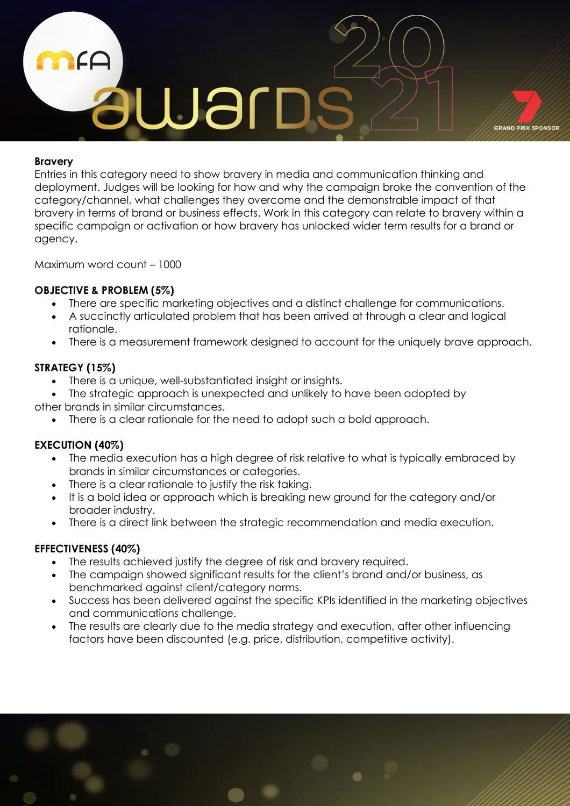

## **Bravery**

Entries in this category need to show bravery in media and communication thinking and deployment. Judges will be looking for how and why the campaign broke the convention of the category/channel, what challenges they overcome and the demonstrable impact of that bravery in terms of brand or business effects. Work in this category can relate to bravery within a specific campaign or activation or how bravery has unlocked wider term results for a brand or agency.

Maximum word count – 1000

## **OBJECTIVE & PROBLEM (5%)**

- There are specific marketing objectives and a distinct challenge for communications.
- A succinctly articulated problem that has been arrived at through a clear and logical rationale.
- There is a measurement framework designed to account for the uniquely brave approach.

# **STRATEGY (15%)**

- There is a unique, well-substantiated insight or insights.
- The strategic approach is unexpected and unlikely to have been adopted by other brands in similar circumstances.
	- There is a clear rationale for the need to adopt such a bold approach.

# **EXECUTION (40%)**

- The media execution has a high degree of risk relative to what is typically embraced by brands in similar circumstances or categories.
- There is a clear rationale to justify the risk taking.
- It is a bold idea or approach which is breaking new ground for the category and/or broader industry.
- There is a direct link between the strategic recommendation and media execution.

- The results achieved justify the degree of risk and bravery required.
- The campaign showed significant results for the client's brand and/or business, as benchmarked against client/category norms.
- Success has been delivered against the specific KPIs identified in the marketing objectives and communications challenge.
- The results are clearly due to the media strategy and execution, after other influencing factors have been discounted (e.g. price, distribution, competitive activity).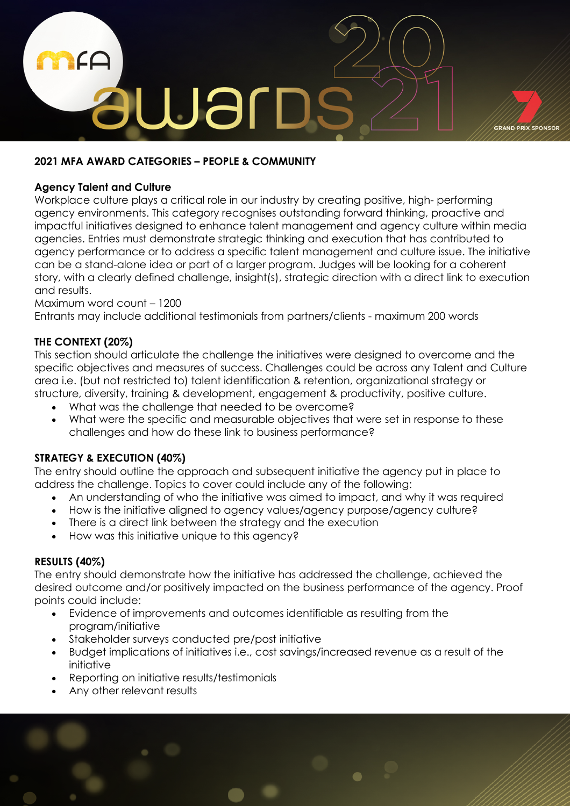

## **2021 MFA AWARD CATEGORIES – PEOPLE & COMMUNITY**

## **Agency Talent and Culture**

Workplace culture plays a critical role in our industry by creating positive, high- performing agency environments. This category recognises outstanding forward thinking, proactive and impactful initiatives designed to enhance talent management and agency culture within media agencies. Entries must demonstrate strategic thinking and execution that has contributed to agency performance or to address a specific talent management and culture issue. The initiative can be a stand-alone idea or part of a larger program. Judges will be looking for a coherent story, with a clearly defined challenge, insight(s), strategic direction with a direct link to execution and results.

## Maximum word count – 1200

Entrants may include additional testimonials from partners/clients - maximum 200 words

## **THE CONTEXT (20%)**

This section should articulate the challenge the initiatives were designed to overcome and the specific objectives and measures of success. Challenges could be across any Talent and Culture area i.e. (but not restricted to) talent identification & retention, organizational strategy or structure, diversity, training & development, engagement & productivity, positive culture.

- What was the challenge that needed to be overcome?
- What were the specific and measurable objectives that were set in response to these challenges and how do these link to business performance?

# **STRATEGY & EXECUTION (40%)**

The entry should outline the approach and subsequent initiative the agency put in place to address the challenge. Topics to cover could include any of the following:

- An understanding of who the initiative was aimed to impact, and why it was required
- How is the initiative aligned to agency values/agency purpose/agency culture?
- There is a direct link between the strategy and the execution
- How was this initiative unique to this agency?

## **RESULTS (40%)**

The entry should demonstrate how the initiative has addressed the challenge, achieved the desired outcome and/or positively impacted on the business performance of the agency. Proof points could include:

- Evidence of improvements and outcomes identifiable as resulting from the program/initiative
- Stakeholder surveys conducted pre/post initiative
- Budget implications of initiatives i.e., cost savings/increased revenue as a result of the initiative
- Reporting on initiative results/testimonials
- Any other relevant results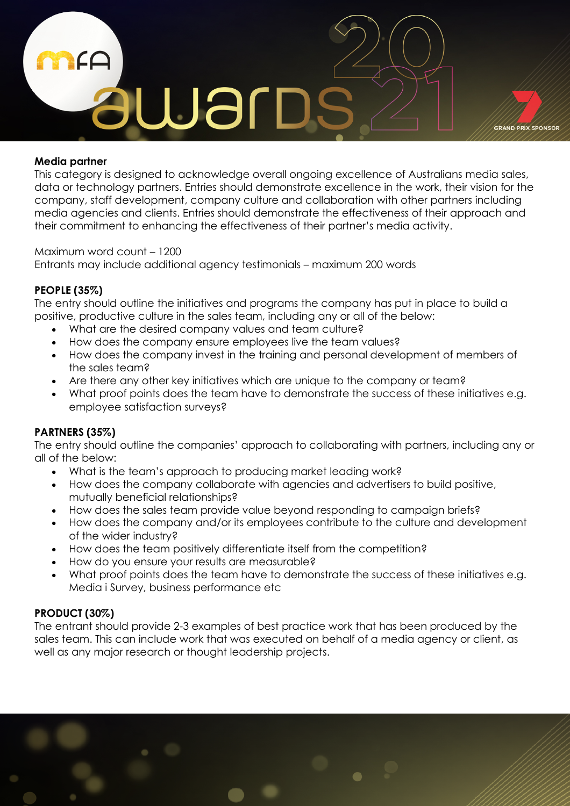

## **Media partner**

This category is designed to acknowledge overall ongoing excellence of Australians media sales, data or technology partners. Entries should demonstrate excellence in the work, their vision for the company, staff development, company culture and collaboration with other partners including media agencies and clients. Entries should demonstrate the effectiveness of their approach and their commitment to enhancing the effectiveness of their partner's media activity.

Maximum word count – 1200 Entrants may include additional agency testimonials – maximum 200 words

# **PEOPLE (35%)**

The entry should outline the initiatives and programs the company has put in place to build a positive, productive culture in the sales team, including any or all of the below:

- What are the desired company values and team culture?
- How does the company ensure employees live the team values?
- How does the company invest in the training and personal development of members of the sales team?
- Are there any other key initiatives which are unique to the company or team?
- What proof points does the team have to demonstrate the success of these initiatives e.g. employee satisfaction surveys?

## **PARTNERS (35%)**

The entry should outline the companies' approach to collaborating with partners, including any or all of the below:

- What is the team's approach to producing market leading work?
- How does the company collaborate with agencies and advertisers to build positive, mutually beneficial relationships?
- How does the sales team provide value beyond responding to campaign briefs?
- How does the company and/or its employees contribute to the culture and development of the wider industry?
- How does the team positively differentiate itself from the competition?
- How do you ensure your results are measurable?
- What proof points does the team have to demonstrate the success of these initiatives e.g. Media i Survey, business performance etc

# **PRODUCT (30%)**

The entrant should provide 2-3 examples of best practice work that has been produced by the sales team. This can include work that was executed on behalf of a media agency or client, as well as any major research or thought leadership projects.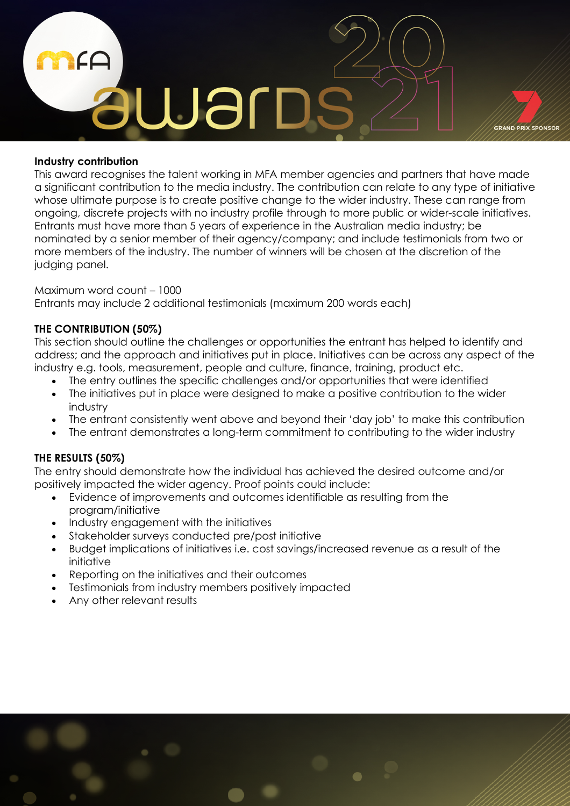

## **Industry contribution**

This award recognises the talent working in MFA member agencies and partners that have made a significant contribution to the media industry. The contribution can relate to any type of initiative whose ultimate purpose is to create positive change to the wider industry. These can range from ongoing, discrete projects with no industry profile through to more public or wider-scale initiatives. Entrants must have more than 5 years of experience in the Australian media industry; be nominated by a senior member of their agency/company; and include testimonials from two or more members of the industry. The number of winners will be chosen at the discretion of the judging panel.

## Maximum word count – 1000 Entrants may include 2 additional testimonials (maximum 200 words each)

# **THE CONTRIBUTION (50%)**

This section should outline the challenges or opportunities the entrant has helped to identify and address; and the approach and initiatives put in place. Initiatives can be across any aspect of the industry e.g. tools, measurement, people and culture, finance, training, product etc.

- The entry outlines the specific challenges and/or opportunities that were identified
- The initiatives put in place were designed to make a positive contribution to the wider industry
- The entrant consistently went above and beyond their 'day job' to make this contribution
- The entrant demonstrates a long-term commitment to contributing to the wider industry

# **THE RESULTS (50%)**

The entry should demonstrate how the individual has achieved the desired outcome and/or positively impacted the wider agency. Proof points could include:

- Evidence of improvements and outcomes identifiable as resulting from the program/initiative
- Industry engagement with the initiatives
- Stakeholder surveys conducted pre/post initiative
- Budget implications of initiatives i.e. cost savings/increased revenue as a result of the initiative
- Reporting on the initiatives and their outcomes
- Testimonials from industry members positively impacted
- Any other relevant results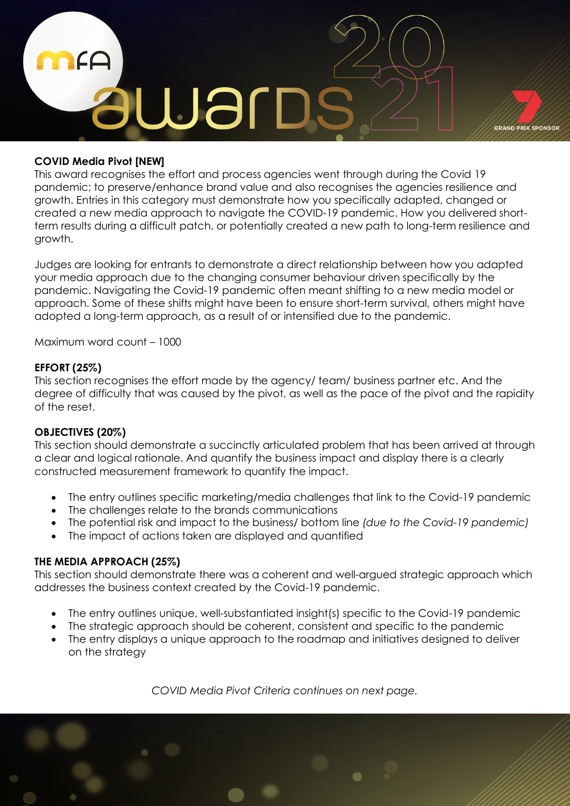

## **COVID Media Pivot [NEW]**

This award recognises the effort and process agencies went through during the Covid 19 pandemic; to preserve/enhance brand value and also recognises the agencies resilience and growth. Entries in this category must demonstrate how you specifically adapted, changed or created a new media approach to navigate the COVID-19 pandemic. How you delivered shortterm results during a difficult patch, or potentially created a new path to long-term resilience and growth.

Judges are looking for entrants to demonstrate a direct relationship between how you adapted your media approach due to the changing consumer behaviour driven specifically by the pandemic. Navigating the Covid-19 pandemic often meant shifting to a new media model or approach. Some of these shifts might have been to ensure short-term survival, others might have adopted a long-term approach, as a result of or intensified due to the pandemic.

Maximum word count – 1000

#### **EFFORT (25%)**

This section recognises the effort made by the agency/ team/ business partner etc. And the degree of difficulty that was caused by the pivot, as well as the pace of the pivot and the rapidity of the reset.

## **OBJECTIVES (20%)**

This section should demonstrate a succinctly articulated problem that has been arrived at through a clear and logical rationale. And quantify the business impact and display there is a clearly constructed measurement framework to quantify the impact.

- The entry outlines specific marketing/media challenges that link to the Covid-19 pandemic
- The challenges relate to the brands communications
- The potential risk and impact to the business/ bottom line *(due to the Covid-19 pandemic)*
- The impact of actions taken are displayed and quantified

#### **THE MEDIA APPROACH (25%)**

This section should demonstrate there was a coherent and well-argued strategic approach which addresses the business context created by the Covid-19 pandemic.

- The entry outlines unique, well-substantiated insight(s) specific to the Covid-19 pandemic
- The strategic approach should be coherent, consistent and specific to the pandemic
- The entry displays a unique approach to the roadmap and initiatives designed to deliver on the strategy

*COVID Media Pivot Criteria continues on next page.*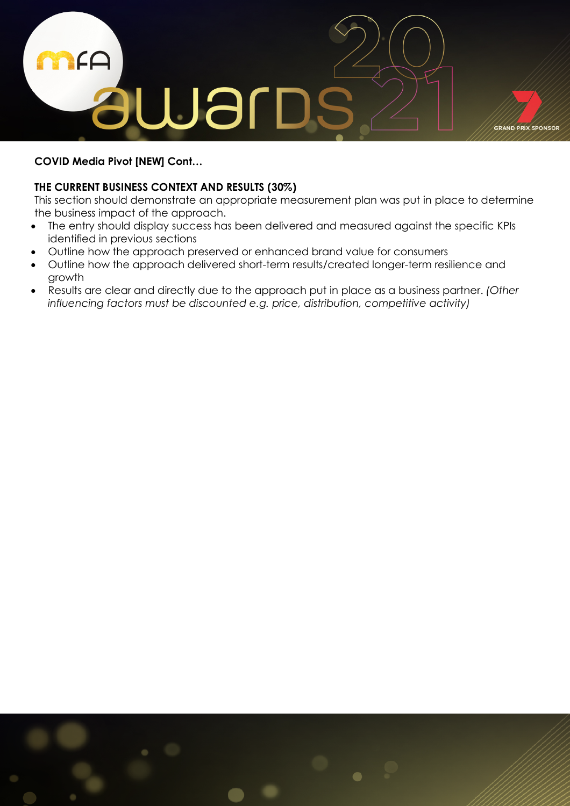

# **COVID Media Pivot [NEW] Cont…**

## **THE CURRENT BUSINESS CONTEXT AND RESULTS (30%)**

This section should demonstrate an appropriate measurement plan was put in place to determine the business impact of the approach.

- The entry should display success has been delivered and measured against the specific KPIs identified in previous sections
- Outline how the approach preserved or enhanced brand value for consumers
- Outline how the approach delivered short-term results/created longer-term resilience and growth
- Results are clear and directly due to the approach put in place as a business partner. *(Other influencing factors must be discounted e.g. price, distribution, competitive activity)*